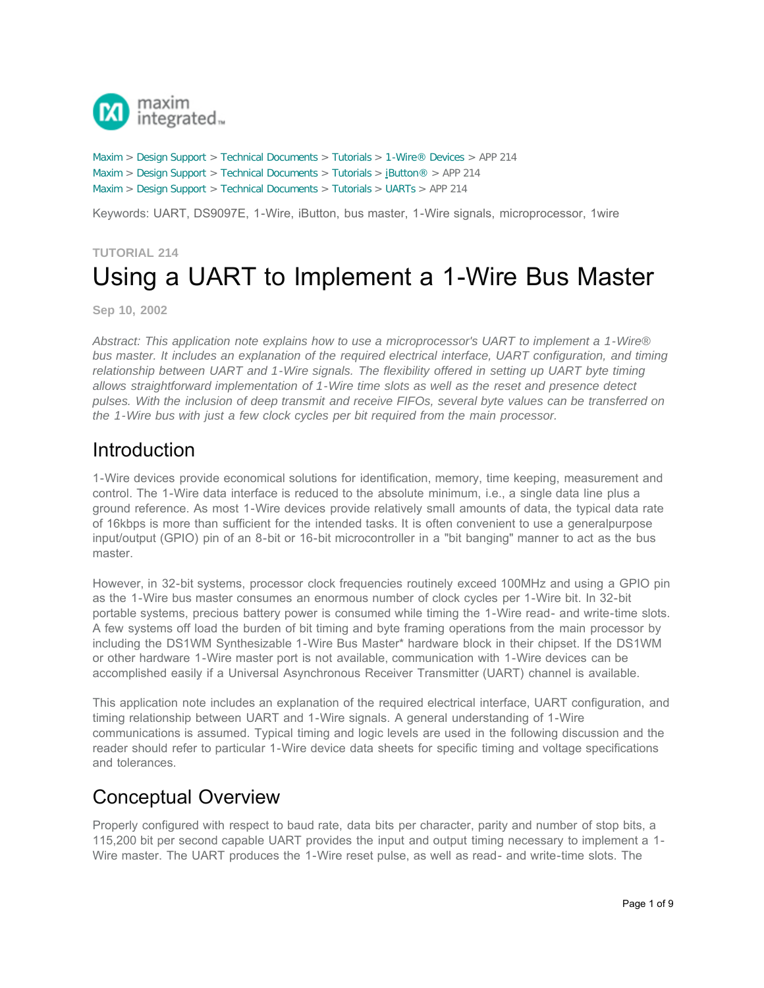

[Maxim](http://www.maximintegrated.com/) > [Design Support](http://www.maximintegrated.com/design/) > [Technical Documents](http://www.maximintegrated.com/design/techdocs/) > [Tutorials](http://www.maximintegrated.com/design/techdocs/tutorials/index.mvp) > [1-Wire® Devices](http://www.maximintegrated.com/design/techdocs/tutorials/index.mvp/id/1/c/1-Wire%26reg%3B%20Devices#c1) > APP 214 [Maxim](http://www.maximintegrated.com/) > [Design Support](http://www.maximintegrated.com/design/) > [Technical Documents](http://www.maximintegrated.com/design/techdocs/) > [Tutorials](http://www.maximintegrated.com/design/techdocs/tutorials/index.mvp) > [iButton®](http://www.maximintegrated.com/design/techdocs/tutorials/index.mvp/id/65/c/iButton%26reg%3B#c65) > APP 214 [Maxim](http://www.maximintegrated.com/) > [Design Support](http://www.maximintegrated.com/design/) > [Technical Documents](http://www.maximintegrated.com/design/techdocs/) > [Tutorials](http://www.maximintegrated.com/design/techdocs/tutorials/index.mvp) > [UARTs](http://www.maximintegrated.com/design/techdocs/tutorials/index.mvp/id/33/c/UARTs#c33) > APP 214

Keywords: UART, DS9097E, 1-Wire, iButton, bus master, 1-Wire signals, microprocessor, 1wire

# **TUTORIAL 214** Using a UART to Implement a 1-Wire Bus Master

**Sep 10, 2002**

*Abstract: This application note explains how to use a microprocessor's UART to implement a 1-Wire® bus master. It includes an explanation of the required electrical interface, UART configuration, and timing relationship between UART and 1-Wire signals. The flexibility offered in setting up UART byte timing allows straightforward implementation of 1-Wire time slots as well as the reset and presence detect pulses. With the inclusion of deep transmit and receive FIFOs, several byte values can be transferred on the 1-Wire bus with just a few clock cycles per bit required from the main processor.*

#### Introduction

1-Wire devices provide economical solutions for identification, memory, time keeping, measurement and control. The 1-Wire data interface is reduced to the absolute minimum, i.e., a single data line plus a ground reference. As most 1-Wire devices provide relatively small amounts of data, the typical data rate of 16kbps is more than sufficient for the intended tasks. It is often convenient to use a generalpurpose input/output (GPIO) pin of an 8-bit or 16-bit microcontroller in a "bit banging" manner to act as the bus master.

However, in 32-bit systems, processor clock frequencies routinely exceed 100MHz and using a GPIO pin as the 1-Wire bus master consumes an enormous number of clock cycles per 1-Wire bit. In 32-bit portable systems, precious battery power is consumed while timing the 1-Wire read- and write-time slots. A few systems off load the burden of bit timing and byte framing operations from the main processor by including the DS1WM Synthesizable 1-Wire Bus Master\* hardware block in their chipset. If the DS1WM or other hardware 1-Wire master port is not available, communication with 1-Wire devices can be accomplished easily if a Universal Asynchronous Receiver Transmitter (UART) channel is available.

This application note includes an explanation of the required electrical interface, UART configuration, and timing relationship between UART and 1-Wire signals. A general understanding of 1-Wire communications is assumed. Typical timing and logic levels are used in the following discussion and the reader should refer to particular 1-Wire device data sheets for specific timing and voltage specifications and tolerances.

#### Conceptual Overview

Properly configured with respect to baud rate, data bits per character, parity and number of stop bits, a 115,200 bit per second capable UART provides the input and output timing necessary to implement a 1- Wire master. The UART produces the 1-Wire reset pulse, as well as read- and write-time slots. The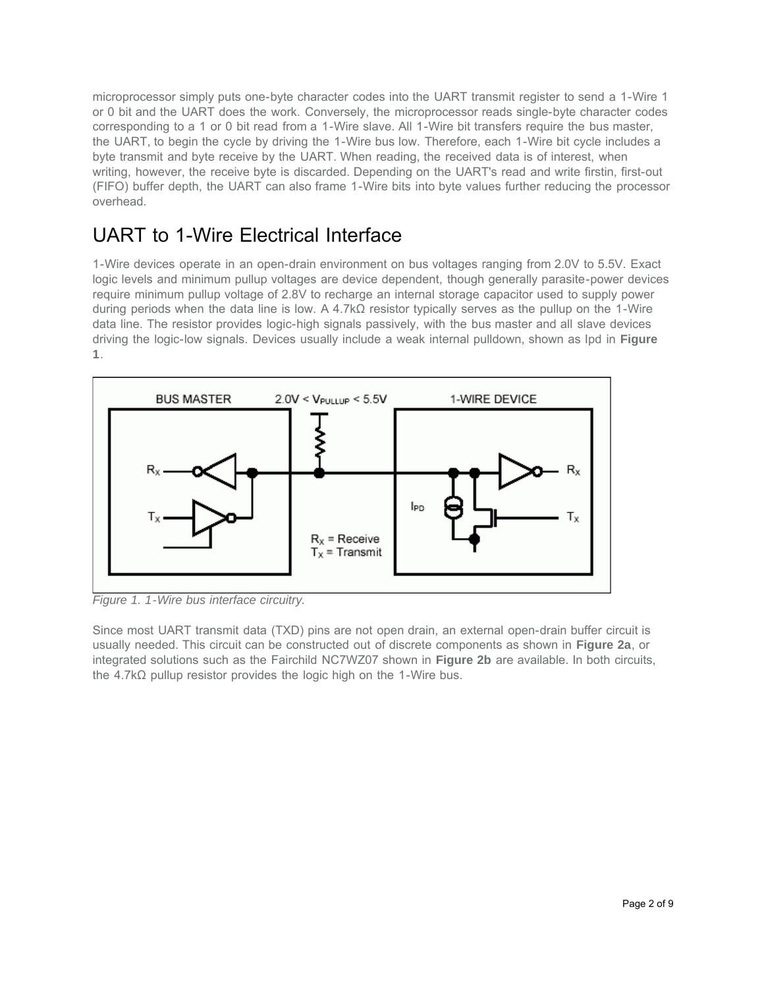microprocessor simply puts one-byte character codes into the UART transmit register to send a 1-Wire 1 or 0 bit and the UART does the work. Conversely, the microprocessor reads single-byte character codes corresponding to a 1 or 0 bit read from a 1-Wire slave. All 1-Wire bit transfers require the bus master, the UART, to begin the cycle by driving the 1-Wire bus low. Therefore, each 1-Wire bit cycle includes a byte transmit and byte receive by the UART. When reading, the received data is of interest, when writing, however, the receive byte is discarded. Depending on the UART's read and write firstin, first-out (FIFO) buffer depth, the UART can also frame 1-Wire bits into byte values further reducing the processor overhead.

# UART to 1-Wire Electrical Interface

1-Wire devices operate in an open-drain environment on bus voltages ranging from 2.0V to 5.5V. Exact logic levels and minimum pullup voltages are device dependent, though generally parasite-power devices require minimum pullup voltage of 2.8V to recharge an internal storage capacitor used to supply power during periods when the data line is low. A 4.7kΩ resistor typically serves as the pullup on the 1-Wire data line. The resistor provides logic-high signals passively, with the bus master and all slave devices driving the logic-low signals. Devices usually include a weak internal pulldown, shown as Ipd in **Figure 1**.



*Figure 1. 1-Wire bus interface circuitry.*

Since most UART transmit data (TXD) pins are not open drain, an external open-drain buffer circuit is usually needed. This circuit can be constructed out of discrete components as shown in **Figure 2a**, or integrated solutions such as the Fairchild NC7WZ07 shown in **Figure 2b** are available. In both circuits, the 4.7kΩ pullup resistor provides the logic high on the 1-Wire bus.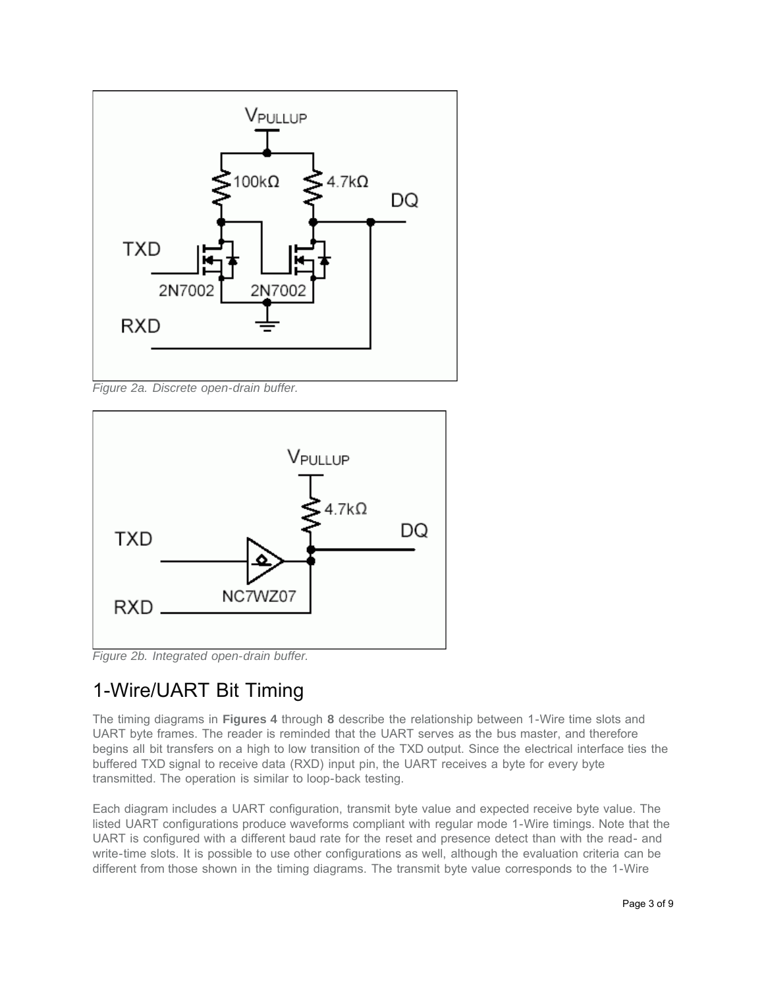

*Figure 2a. Discrete open-drain buffer.*



*Figure 2b. Integrated open-drain buffer.*

# 1-Wire/UART Bit Timing

The timing diagrams in **Figures 4** through **8** describe the relationship between 1-Wire time slots and UART byte frames. The reader is reminded that the UART serves as the bus master, and therefore begins all bit transfers on a high to low transition of the TXD output. Since the electrical interface ties the buffered TXD signal to receive data (RXD) input pin, the UART receives a byte for every byte transmitted. The operation is similar to loop-back testing.

Each diagram includes a UART configuration, transmit byte value and expected receive byte value. The listed UART configurations produce waveforms compliant with regular mode 1-Wire timings. Note that the UART is configured with a different baud rate for the reset and presence detect than with the read- and write-time slots. It is possible to use other configurations as well, although the evaluation criteria can be different from those shown in the timing diagrams. The transmit byte value corresponds to the 1-Wire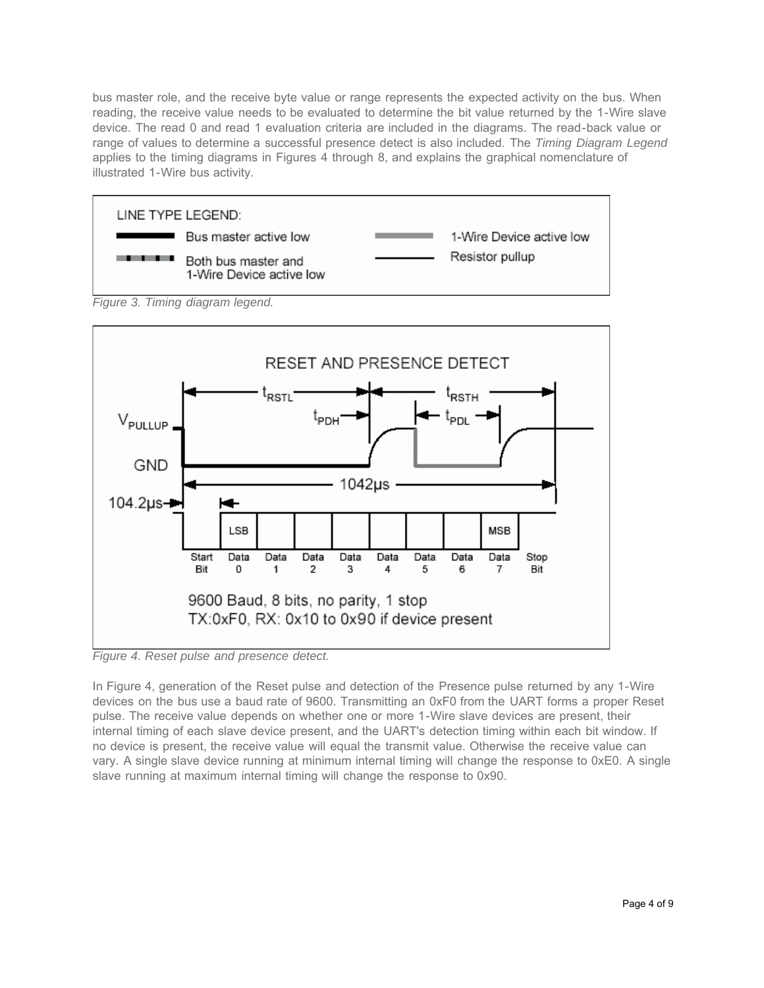bus master role, and the receive byte value or range represents the expected activity on the bus. When reading, the receive value needs to be evaluated to determine the bit value returned by the 1-Wire slave device. The read 0 and read 1 evaluation criteria are included in the diagrams. The read-back value or range of values to determine a successful presence detect is also included. The *Timing Diagram Legend* applies to the timing diagrams in Figures 4 through 8, and explains the graphical nomenclature of illustrated 1-Wire bus activity.



*Figure 3. Timing diagram legend.*



*Figure 4. Reset pulse and presence detect.*

In Figure 4, generation of the Reset pulse and detection of the Presence pulse returned by any 1-Wire devices on the bus use a baud rate of 9600. Transmitting an 0xF0 from the UART forms a proper Reset pulse. The receive value depends on whether one or more 1-Wire slave devices are present, their internal timing of each slave device present, and the UART's detection timing within each bit window. If no device is present, the receive value will equal the transmit value. Otherwise the receive value can vary. A single slave device running at minimum internal timing will change the response to 0xE0. A single slave running at maximum internal timing will change the response to 0x90.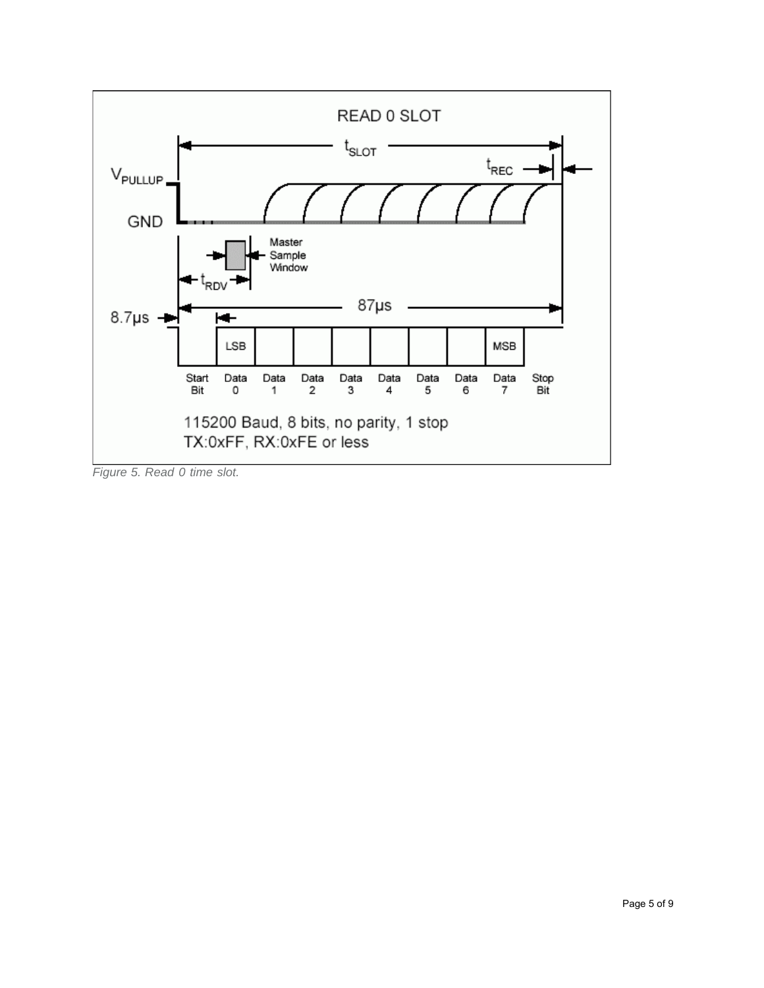

*Figure 5. Read 0 time slot.*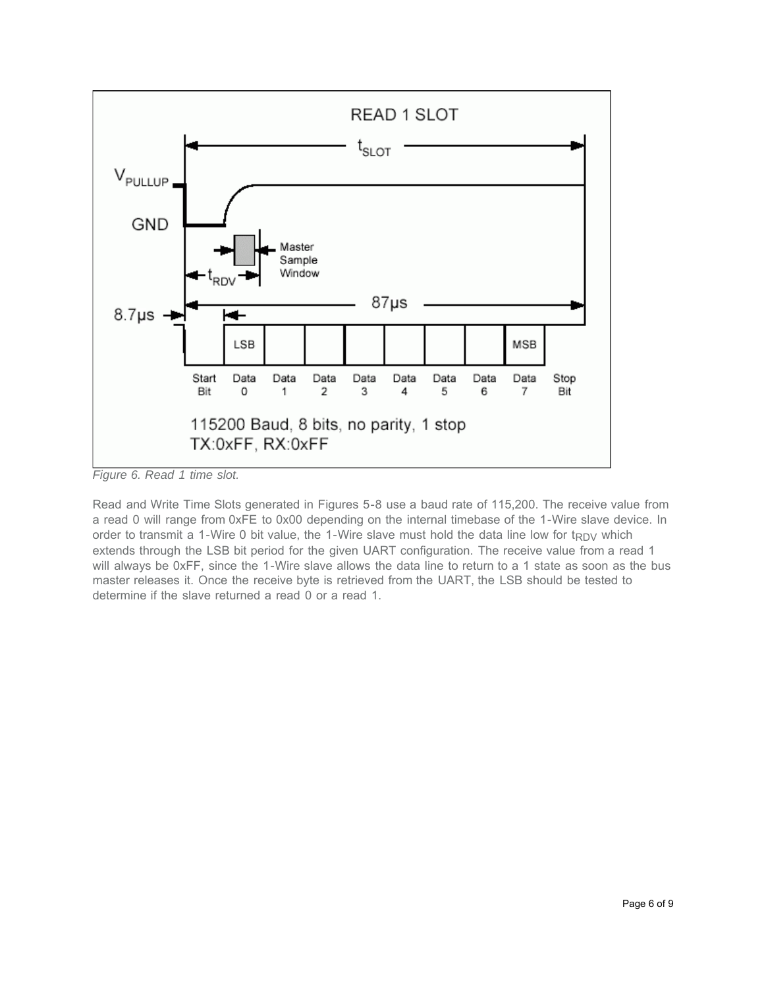

*Figure 6. Read 1 time slot.*

Read and Write Time Slots generated in Figures 5-8 use a baud rate of 115,200. The receive value from a read 0 will range from 0xFE to 0x00 depending on the internal timebase of the 1-Wire slave device. In order to transmit a 1-Wire 0 bit value, the 1-Wire slave must hold the data line low for tRDV which extends through the LSB bit period for the given UART configuration. The receive value from a read 1 will always be 0xFF, since the 1-Wire slave allows the data line to return to a 1 state as soon as the bus master releases it. Once the receive byte is retrieved from the UART, the LSB should be tested to determine if the slave returned a read 0 or a read 1.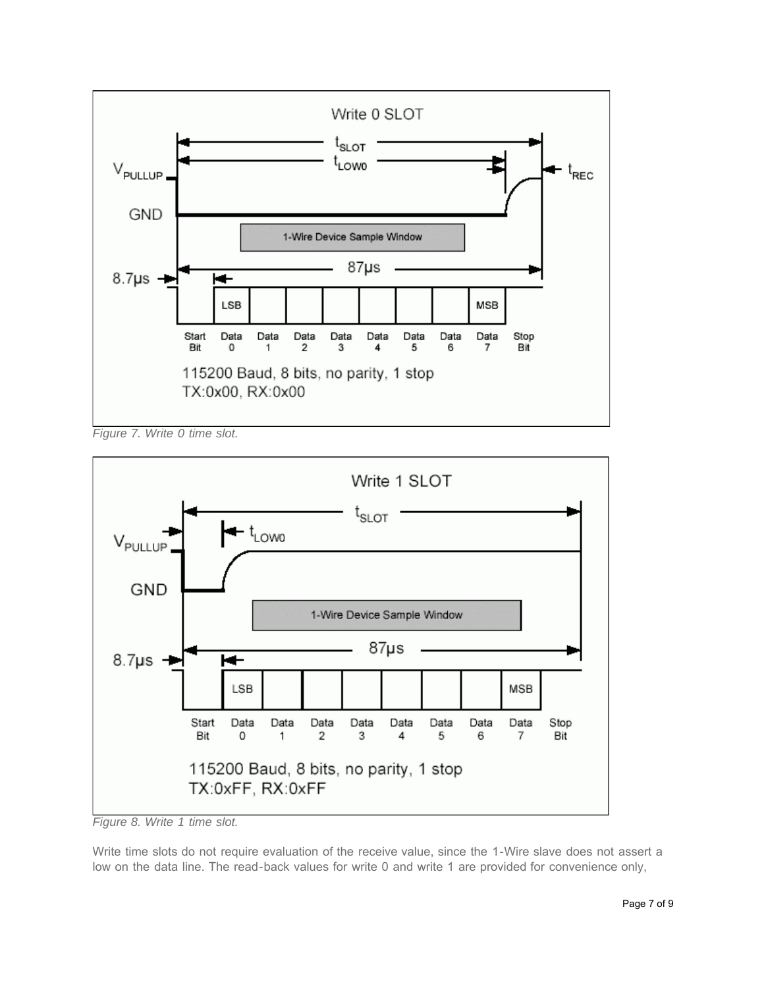

*Figure 7. Write 0 time slot.*



*Figure 8. Write 1 time slot.*

Write time slots do not require evaluation of the receive value, since the 1-Wire slave does not assert a low on the data line. The read-back values for write 0 and write 1 are provided for convenience only,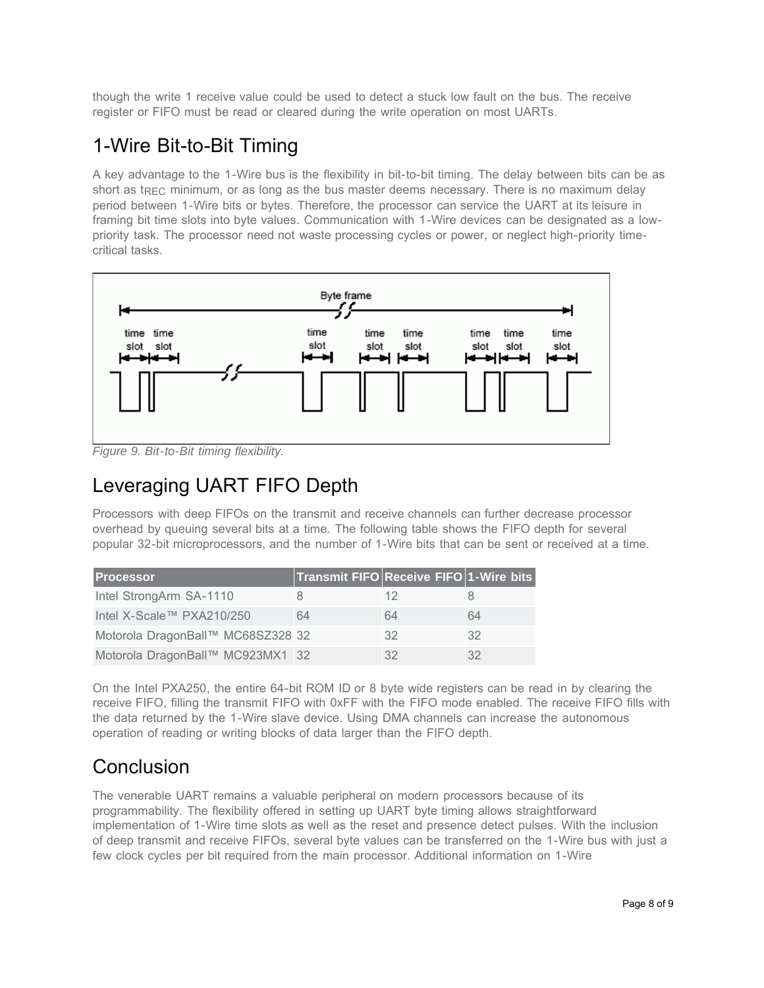though the write 1 receive value could be used to detect a stuck low fault on the bus. The receive register or FIFO must be read or cleared during the write operation on most UARTs.

# 1-Wire Bit-to-Bit Timing

A key advantage to the 1-Wire bus is the flexibility in bit-to-bit timing. The delay between bits can be as short as  $t_{REC}$  minimum, or as long as the bus master deems necessary. There is no maximum delay period between 1-Wire bits or bytes. Therefore, the processor can service the UART at its leisure in framing bit time slots into byte values. Communication with 1-Wire devices can be designated as a lowpriority task. The processor need not waste processing cycles or power, or neglect high-priority timecritical tasks.



*Figure 9. Bit-to-Bit timing flexibility.*

#### Leveraging UART FIFO Depth

Processors with deep FIFOs on the transmit and receive channels can further decrease processor overhead by queuing several bits at a time. The following table shows the FIFO depth for several popular 32-bit microprocessors, and the number of 1-Wire bits that can be sent or received at a time.

| <b>Processor</b>                  | Transmit FIFO Receive FIFO 1-Wire bits |    |    |
|-----------------------------------|----------------------------------------|----|----|
| Intel StrongArm SA-1110           |                                        |    |    |
| Intel X-Scale™ PXA210/250         | 64                                     | 64 | 64 |
| Motorola DragonBall™ MC68SZ328 32 |                                        | 32 | 32 |
| Motorola DragonBall™ MC923MX1 32  |                                        | 32 |    |

On the Intel PXA250, the entire 64-bit ROM ID or 8 byte wide registers can be read in by clearing the receive FIFO, filling the transmit FIFO with 0xFF with the FIFO mode enabled. The receive FIFO fills with the data returned by the 1-Wire slave device. Using DMA channels can increase the autonomous operation of reading or writing blocks of data larger than the FIFO depth.

# **Conclusion**

The venerable UART remains a valuable peripheral on modern processors because of its programmability. The flexibility offered in setting up UART byte timing allows straightforward implementation of 1-Wire time slots as well as the reset and presence detect pulses. With the inclusion of deep transmit and receive FIFOs, several byte values can be transferred on the 1-Wire bus with just a few clock cycles per bit required from the main processor. Additional information on 1-Wire